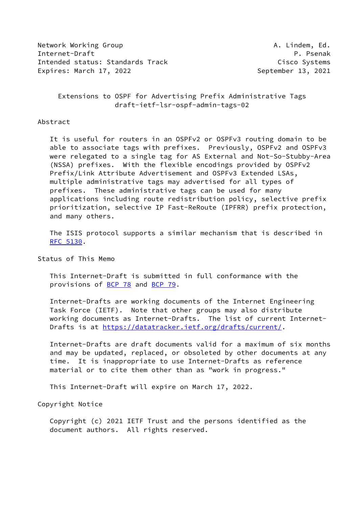Network Working Group **A. Lindem, Ed.** A. Lindem, Ed. Internet-Draft P. Psenak Intended status: Standards Track Cisco Systems Expires: March 17, 2022 **September 13, 2021** 

 Extensions to OSPF for Advertising Prefix Administrative Tags draft-ietf-lsr-ospf-admin-tags-02

### Abstract

 It is useful for routers in an OSPFv2 or OSPFv3 routing domain to be able to associate tags with prefixes. Previously, OSPFv2 and OSPFv3 were relegated to a single tag for AS External and Not-So-Stubby-Area (NSSA) prefixes. With the flexible encodings provided by OSPFv2 Prefix/Link Attribute Advertisement and OSPFv3 Extended LSAs, multiple administrative tags may advertised for all types of prefixes. These administrative tags can be used for many applications including route redistribution policy, selective prefix prioritization, selective IP Fast-ReRoute (IPFRR) prefix protection, and many others.

 The ISIS protocol supports a similar mechanism that is described in [RFC 5130](https://datatracker.ietf.org/doc/pdf/rfc5130).

Status of This Memo

 This Internet-Draft is submitted in full conformance with the provisions of [BCP 78](https://datatracker.ietf.org/doc/pdf/bcp78) and [BCP 79](https://datatracker.ietf.org/doc/pdf/bcp79).

 Internet-Drafts are working documents of the Internet Engineering Task Force (IETF). Note that other groups may also distribute working documents as Internet-Drafts. The list of current Internet- Drafts is at<https://datatracker.ietf.org/drafts/current/>.

 Internet-Drafts are draft documents valid for a maximum of six months and may be updated, replaced, or obsoleted by other documents at any time. It is inappropriate to use Internet-Drafts as reference material or to cite them other than as "work in progress."

This Internet-Draft will expire on March 17, 2022.

Copyright Notice

 Copyright (c) 2021 IETF Trust and the persons identified as the document authors. All rights reserved.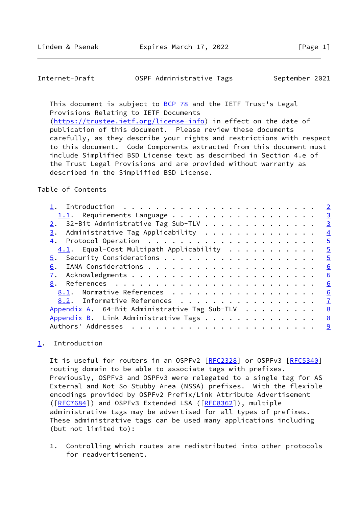<span id="page-1-1"></span>Internet-Draft **OSPF** Administrative Tags September 2021

This document is subject to [BCP 78](https://datatracker.ietf.org/doc/pdf/bcp78) and the IETF Trust's Legal Provisions Relating to IETF Documents

 [\(https://trustee.ietf.org/license-info](https://trustee.ietf.org/license-info)) in effect on the date of publication of this document. Please review these documents carefully, as they describe your rights and restrictions with respect to this document. Code Components extracted from this document must include Simplified BSD License text as described in Section 4.e of the Trust Legal Provisions and are provided without warranty as described in the Simplified BSD License.

## Table of Contents

|                                               | $\overline{2}$ |
|-----------------------------------------------|----------------|
|                                               | $\overline{3}$ |
| 32-Bit Administrative Tag Sub-TLV             | $\overline{3}$ |
| Administrative Tag Applicability<br>3.        | $\overline{4}$ |
|                                               | $\overline{5}$ |
| $4.1$ . Equal-Cost Multipath Applicability    | $\overline{5}$ |
|                                               | $\overline{5}$ |
| 6.                                            | 6              |
|                                               | 6              |
| 8.                                            | 6              |
| 8.1. Normative References                     | 6              |
| 8.2. Informative References                   | $\mathbf{Z}$   |
| Appendix A. 64-Bit Administrative Tag Sub-TLV | 8              |
| Appendix B. Link Administrative Tags          | 8              |
| Authors' Addresses                            | 9              |
|                                               |                |

# <span id="page-1-0"></span>[1](#page-1-0). Introduction

It is useful for routers in an OSPFv2 [[RFC2328](https://datatracker.ietf.org/doc/pdf/rfc2328)] or OSPFv3 [[RFC5340](https://datatracker.ietf.org/doc/pdf/rfc5340)] routing domain to be able to associate tags with prefixes. Previously, OSPFv3 and OSPFv3 were relegated to a single tag for AS External and Not-So-Stubby-Area (NSSA) prefixes. With the flexible encodings provided by OSPFv2 Prefix/Link Attribute Advertisement ([\[RFC7684](https://datatracker.ietf.org/doc/pdf/rfc7684)]) and OSPFv3 Extended LSA ([\[RFC8362](https://datatracker.ietf.org/doc/pdf/rfc8362)]), multiple administrative tags may be advertised for all types of prefixes. These administrative tags can be used many applications including (but not limited to):

 1. Controlling which routes are redistributed into other protocols for readvertisement.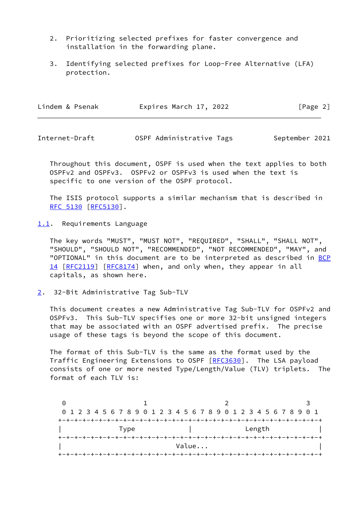- 2. Prioritizing selected prefixes for faster convergence and installation in the forwarding plane.
- 3. Identifying selected prefixes for Loop-Free Alternative (LFA) protection.

| Lindem & Psenak | Expires March 17, 2022 | [Page 2] |
|-----------------|------------------------|----------|
|                 |                        |          |

<span id="page-2-1"></span>Internet-Draft **OSPF Administrative Tags** September 2021

 Throughout this document, OSPF is used when the text applies to both OSPFv2 and OSPFv3. OSPFv2 or OSPFv3 is used when the text is specific to one version of the OSPF protocol.

 The ISIS protocol supports a similar mechanism that is described in [RFC 5130](https://datatracker.ietf.org/doc/pdf/rfc5130) [\[RFC5130](https://datatracker.ietf.org/doc/pdf/rfc5130)].

<span id="page-2-0"></span>[1.1](#page-2-0). Requirements Language

 The key words "MUST", "MUST NOT", "REQUIRED", "SHALL", "SHALL NOT", "SHOULD", "SHOULD NOT", "RECOMMENDED", "NOT RECOMMENDED", "MAY", and "OPTIONAL" in this document are to be interpreted as described in [BCP](https://datatracker.ietf.org/doc/pdf/bcp14) [14](https://datatracker.ietf.org/doc/pdf/bcp14) [[RFC2119\]](https://datatracker.ietf.org/doc/pdf/rfc2119) [\[RFC8174](https://datatracker.ietf.org/doc/pdf/rfc8174)] when, and only when, they appear in all capitals, as shown here.

<span id="page-2-2"></span>[2](#page-2-2). 32-Bit Administrative Tag Sub-TLV

 This document creates a new Administrative Tag Sub-TLV for OSPFv2 and OSPFv3. This Sub-TLV specifies one or more 32-bit unsigned integers that may be associated with an OSPF advertised prefix. The precise usage of these tags is beyond the scope of this document.

 The format of this Sub-TLV is the same as the format used by the Traffic Engineering Extensions to OSPF [\[RFC3630](https://datatracker.ietf.org/doc/pdf/rfc3630)]. The LSA payload consists of one or more nested Type/Length/Value (TLV) triplets. The format of each TLV is:

0 1 2 3 0 1 2 3 4 5 6 7 8 9 0 1 2 3 4 5 6 7 8 9 0 1 2 3 4 5 6 7 8 9 0 1 +-+-+-+-+-+-+-+-+-+-+-+-+-+-+-+-+-+-+-+-+-+-+-+-+-+-+-+-+-+-+-+-+ | Type | Length | | +-+-+-+-+-+-+-+-+-+-+-+-+-+-+-+-+-+-+-+-+-+-+-+-+-+-+-+-+-+-+-+-+ | **Value...** | **Value...** | **Value...** | **Value...** | **|**  $\frac{1}{2}$ +-+-+-+-+-+-+-+-+-+-+-+-+-+-+-+-+-+-+-+-+-+-+-+-+-+-+-+-+-+-+-+-+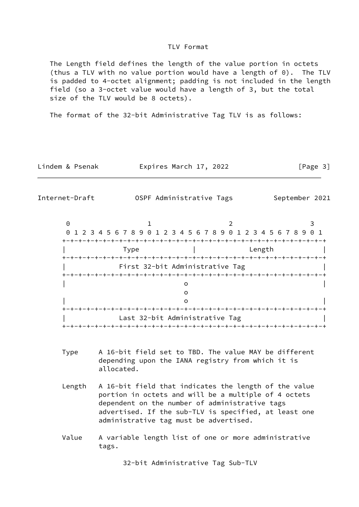### TLV Format

 The Length field defines the length of the value portion in octets (thus a TLV with no value portion would have a length of 0). The TLV is padded to 4-octet alignment; padding is not included in the length field (so a 3-octet value would have a length of 3, but the total size of the TLV would be 8 octets).

The format of the 32-bit Administrative Tag TLV is as follows:

Lindem & Psenak Fxpires March 17, 2022 [Page 3]

<span id="page-3-0"></span>Internet-Draft **OSPF** Administrative Tags September 2021

| 0 1 2 3 4 5 6 7 8 9 0 1 2 3 4 5 6 7 8 9 0 1 2 3 4 5 6 7 8 9 0 1 |                                 |                                 |        |  |
|-----------------------------------------------------------------|---------------------------------|---------------------------------|--------|--|
|                                                                 |                                 |                                 |        |  |
| Type                                                            |                                 |                                 | Length |  |
|                                                                 |                                 |                                 |        |  |
|                                                                 | First 32-bit Administrative Tag |                                 |        |  |
|                                                                 |                                 |                                 |        |  |
|                                                                 |                                 |                                 |        |  |
|                                                                 |                                 |                                 |        |  |
|                                                                 |                                 |                                 |        |  |
|                                                                 |                                 |                                 |        |  |
|                                                                 | Last 32-bit Administrative Tag  |                                 |        |  |
|                                                                 |                                 | +-+-+-+-+-+-+-+-+-+-+-+-+-+-+-+ |        |  |

- Type A 16-bit field set to TBD. The value MAY be different depending upon the IANA registry from which it is allocated.
- Length A 16-bit field that indicates the length of the value portion in octets and will be a multiple of 4 octets dependent on the number of administrative tags advertised. If the sub-TLV is specified, at least one administrative tag must be advertised.
- Value A variable length list of one or more administrative tags.

32-bit Administrative Tag Sub-TLV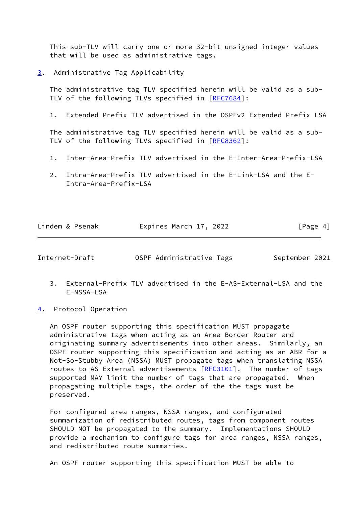This sub-TLV will carry one or more 32-bit unsigned integer values that will be used as administrative tags.

<span id="page-4-0"></span>[3](#page-4-0). Administrative Tag Applicability

 The administrative tag TLV specified herein will be valid as a sub- TLV of the following TLVs specified in [\[RFC7684](https://datatracker.ietf.org/doc/pdf/rfc7684)]:

1. Extended Prefix TLV advertised in the OSPFv2 Extended Prefix LSA

 The administrative tag TLV specified herein will be valid as a sub- TLV of the following TLVs specified in [\[RFC8362](https://datatracker.ietf.org/doc/pdf/rfc8362)]:

- 1. Inter-Area-Prefix TLV advertised in the E-Inter-Area-Prefix-LSA
- 2. Intra-Area-Prefix TLV advertised in the E-Link-LSA and the E- Intra-Area-Prefix-LSA

| Lindem & Psenak | Expires March 17, 2022 | [Page 4] |
|-----------------|------------------------|----------|
|                 |                        |          |

<span id="page-4-2"></span>Internet-Draft **OSPF** Administrative Tags September 2021

- 3. External-Prefix TLV advertised in the E-AS-External-LSA and the E-NSSA-LSA
- <span id="page-4-1"></span>[4](#page-4-1). Protocol Operation

 An OSPF router supporting this specification MUST propagate administrative tags when acting as an Area Border Router and originating summary advertisements into other areas. Similarly, an OSPF router supporting this specification and acting as an ABR for a Not-So-Stubby Area (NSSA) MUST propagate tags when translating NSSA routes to AS External advertisements [\[RFC3101](https://datatracker.ietf.org/doc/pdf/rfc3101)]. The number of tags supported MAY limit the number of tags that are propagated. When propagating multiple tags, the order of the the tags must be preserved.

 For configured area ranges, NSSA ranges, and configurated summarization of redistributed routes, tags from component routes SHOULD NOT be propagated to the summary. Implementations SHOULD provide a mechanism to configure tags for area ranges, NSSA ranges, and redistributed route summaries.

An OSPF router supporting this specification MUST be able to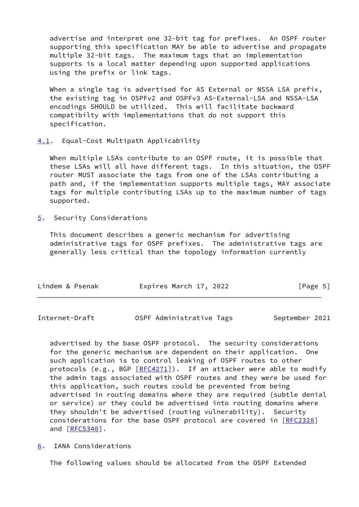advertise and interpret one 32-bit tag for prefixes. An OSPF router supporting this specification MAY be able to advertise and propagate multiple 32-bit tags. The maximum tags that an implementation supports is a local matter depending upon supported applications using the prefix or link tags.

When a single tag is advertised for AS External or NSSA LSA prefix. the existing tag in OSPFv2 and OSPFv3 AS-External-LSA and NSSA-LSA encodings SHOULD be utilized. This will facilitate backward compatibilty with implementations that do not support this specification.

## <span id="page-5-0"></span>[4.1](#page-5-0). Equal-Cost Multipath Applicability

 When multiple LSAs contribute to an OSPF route, it is possible that these LSAs will all have different tags. In this situation, the OSPF router MUST associate the tags from one of the LSAs contributing a path and, if the implementation supports multiple tags, MAY associate tags for multiple contributing LSAs up to the maximum number of tags supported.

<span id="page-5-1"></span>[5](#page-5-1). Security Considerations

 This document describes a generic mechanism for advertising administrative tags for OSPF prefixes. The administrative tags are generally less critical than the topology information currently

| Lindem & Psenak | Expires March 17, 2022 | [Page 5] |  |
|-----------------|------------------------|----------|--|
|                 |                        |          |  |

<span id="page-5-3"></span>Internet-Draft **OSPF Administrative Tags** September 2021

 advertised by the base OSPF protocol. The security considerations for the generic mechanism are dependent on their application. One such application is to control leaking of OSPF routes to other protocols (e.g., BGP [\[RFC4271](https://datatracker.ietf.org/doc/pdf/rfc4271)]). If an attacker were able to modify the admin tags associated with OSPF routes and they were be used for this application, such routes could be prevented from being advertised in routing domains where they are required (subtle denial or service) or they could be advertised into routing domains where they shouldn't be advertised (routing vulnerability). Security considerations for the base OSPF protocol are covered in [\[RFC2328](https://datatracker.ietf.org/doc/pdf/rfc2328)] and  $[REC5340]$ .

<span id="page-5-2"></span>[6](#page-5-2). IANA Considerations

The following values should be allocated from the OSPF Extended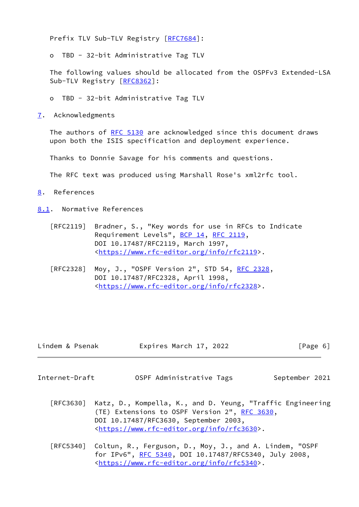Prefix TLV Sub-TLV Registry [\[RFC7684](https://datatracker.ietf.org/doc/pdf/rfc7684)]:

o TBD - 32-bit Administrative Tag TLV

 The following values should be allocated from the OSPFv3 Extended-LSA Sub-TLV Registry [\[RFC8362](https://datatracker.ietf.org/doc/pdf/rfc8362)]:

- o TBD 32-bit Administrative Tag TLV
- <span id="page-6-0"></span>[7](#page-6-0). Acknowledgments

The authors of [RFC 5130](https://datatracker.ietf.org/doc/pdf/rfc5130) are acknowledged since this document draws upon both the ISIS specification and deployment experience.

Thanks to Donnie Savage for his comments and questions.

The RFC text was produced using Marshall Rose's xml2rfc tool.

<span id="page-6-1"></span>[8](#page-6-1). References

<span id="page-6-2"></span>[8.1](#page-6-2). Normative References

- [RFC2119] Bradner, S., "Key words for use in RFCs to Indicate Requirement Levels", [BCP 14](https://datatracker.ietf.org/doc/pdf/bcp14), [RFC 2119](https://datatracker.ietf.org/doc/pdf/rfc2119), DOI 10.17487/RFC2119, March 1997, <[https://www.rfc-editor.org/info/rfc2119>](https://www.rfc-editor.org/info/rfc2119).
- [RFC2328] Moy, J., "OSPF Version 2", STD 54, [RFC 2328](https://datatracker.ietf.org/doc/pdf/rfc2328), DOI 10.17487/RFC2328, April 1998, <[https://www.rfc-editor.org/info/rfc2328>](https://www.rfc-editor.org/info/rfc2328).

| Lindem & Psenak | Expires March 17, 2022 |  | [Page 6] |  |
|-----------------|------------------------|--|----------|--|
|-----------------|------------------------|--|----------|--|

<span id="page-6-3"></span>Internet-Draft OSPF Administrative Tags September 2021

- [RFC3630] Katz, D., Kompella, K., and D. Yeung, "Traffic Engineering (TE) Extensions to OSPF Version 2", [RFC 3630,](https://datatracker.ietf.org/doc/pdf/rfc3630) DOI 10.17487/RFC3630, September 2003, <[https://www.rfc-editor.org/info/rfc3630>](https://www.rfc-editor.org/info/rfc3630).
- [RFC5340] Coltun, R., Ferguson, D., Moy, J., and A. Lindem, "OSPF for IPv6", [RFC 5340](https://datatracker.ietf.org/doc/pdf/rfc5340), DOI 10.17487/RFC5340, July 2008, <[https://www.rfc-editor.org/info/rfc5340>](https://www.rfc-editor.org/info/rfc5340).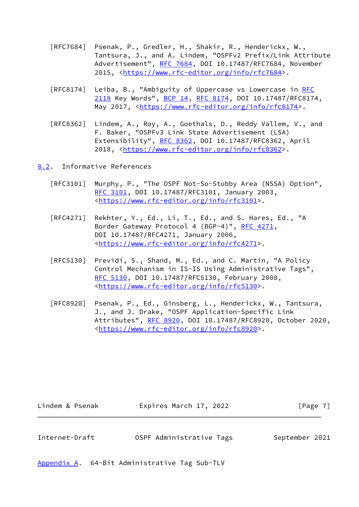- [RFC7684] Psenak, P., Gredler, H., Shakir, R., Henderickx, W., Tantsura, J., and A. Lindem, "OSPFv2 Prefix/Link Attribute Advertisement", [RFC 7684,](https://datatracker.ietf.org/doc/pdf/rfc7684) DOI 10.17487/RFC7684, November 2015, [<https://www.rfc-editor.org/info/rfc7684](https://www.rfc-editor.org/info/rfc7684)>.
- [RFC8174] Leiba, B., "Ambiguity of Uppercase vs Lowercase in [RFC](https://datatracker.ietf.org/doc/pdf/rfc2119) [2119](https://datatracker.ietf.org/doc/pdf/rfc2119) Key Words", [BCP 14](https://datatracker.ietf.org/doc/pdf/bcp14), [RFC 8174,](https://datatracker.ietf.org/doc/pdf/rfc8174) DOI 10.17487/RFC8174, May 2017, [<https://www.rfc-editor.org/info/rfc8174](https://www.rfc-editor.org/info/rfc8174)>.
- [RFC8362] Lindem, A., Roy, A., Goethals, D., Reddy Vallem, V., and F. Baker, "OSPFv3 Link State Advertisement (LSA) Extensibility", [RFC 8362,](https://datatracker.ietf.org/doc/pdf/rfc8362) DOI 10.17487/RFC8362, April 2018, [<https://www.rfc-editor.org/info/rfc8362](https://www.rfc-editor.org/info/rfc8362)>.

<span id="page-7-0"></span>[8.2](#page-7-0). Informative References

- [RFC3101] Murphy, P., "The OSPF Not-So-Stubby Area (NSSA) Option", [RFC 3101,](https://datatracker.ietf.org/doc/pdf/rfc3101) DOI 10.17487/RFC3101, January 2003, <[https://www.rfc-editor.org/info/rfc3101>](https://www.rfc-editor.org/info/rfc3101).
- [RFC4271] Rekhter, Y., Ed., Li, T., Ed., and S. Hares, Ed., "A Border Gateway Protocol 4 (BGP-4)", [RFC 4271,](https://datatracker.ietf.org/doc/pdf/rfc4271) DOI 10.17487/RFC4271, January 2006, <[https://www.rfc-editor.org/info/rfc4271>](https://www.rfc-editor.org/info/rfc4271).
- [RFC5130] Previdi, S., Shand, M., Ed., and C. Martin, "A Policy Control Mechanism in IS-IS Using Administrative Tags", [RFC 5130,](https://datatracker.ietf.org/doc/pdf/rfc5130) DOI 10.17487/RFC5130, February 2008, <[https://www.rfc-editor.org/info/rfc5130>](https://www.rfc-editor.org/info/rfc5130).
- [RFC8920] Psenak, P., Ed., Ginsberg, L., Henderickx, W., Tantsura, J., and J. Drake, "OSPF Application-Specific Link Attributes", [RFC 8920](https://datatracker.ietf.org/doc/pdf/rfc8920), DOI 10.17487/RFC8920, October 2020, <[https://www.rfc-editor.org/info/rfc8920>](https://www.rfc-editor.org/info/rfc8920).

<span id="page-7-2"></span>

| Lindem & Psenak | Expires March 17, 2022   | $\lceil \text{Page } 7 \rceil$ |
|-----------------|--------------------------|--------------------------------|
|                 |                          |                                |
| Internet-Draft  | OSPF Administrative Tags | September 2021                 |

<span id="page-7-1"></span>[Appendix A.](#page-7-1) 64-Bit Administrative Tag Sub-TLV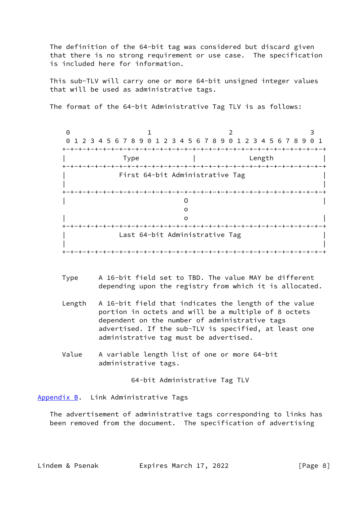The definition of the 64-bit tag was considered but discard given that there is no strong requirement or use case. The specification is included here for information.

 This sub-TLV will carry one or more 64-bit unsigned integer values that will be used as administrative tags.

The format of the 64-bit Administrative Tag TLV is as follows:

0 1 2 3 0 1 2 3 4 5 6 7 8 9 0 1 2 3 4 5 6 7 8 9 0 1 2 3 4 5 6 7 8 9 0 1 +-+-+-+-+-+-+-+-+-+-+-+-+-+-+-+-+-+-+-+-+-+-+-+-+-+-+-+-+-+-+-+-+ | Type | Length | +-+-+-+-+-+-+-+-+-+-+-+-+-+-+-+-+-+-+-+-+-+-+-+-+-+-+-+-+-+-+-+-+ | First 64-bit Administrative Tag | | | +-+-+-+-+-+-+-+-+-+-+-+-+-+-+-+-+-+-+-+-+-+-+-+-+-+-+-+-+-+-+-+-+ | O | of the contract of the contract of the contract of the contract of the contract of the contract of the contract of the contract of the contract of the contract of the contract of the contract of the contract of the contrac | o | +-+-+-+-+-+-+-+-+-+-+-+-+-+-+-+-+-+-+-+-+-+-+-+-+-+-+-+-+-+-+-+-+ Last 64-bit Administrative Tag | | +-+-+-+-+-+-+-+-+-+-+-+-+-+-+-+-+-+-+-+-+-+-+-+-+-+-+-+-+-+-+-+-+

- Type A 16-bit field set to TBD. The value MAY be different depending upon the registry from which it is allocated.
- Length A 16-bit field that indicates the length of the value portion in octets and will be a multiple of 8 octets dependent on the number of administrative tags advertised. If the sub-TLV is specified, at least one administrative tag must be advertised.
- Value A variable length list of one or more 64-bit administrative tags.

64-bit Administrative Tag TLV

<span id="page-8-0"></span>[Appendix B.](#page-8-0) Link Administrative Tags

 The advertisement of administrative tags corresponding to links has been removed from the document. The specification of advertising

Lindem & Psenak Fxpires March 17, 2022 [Page 8]